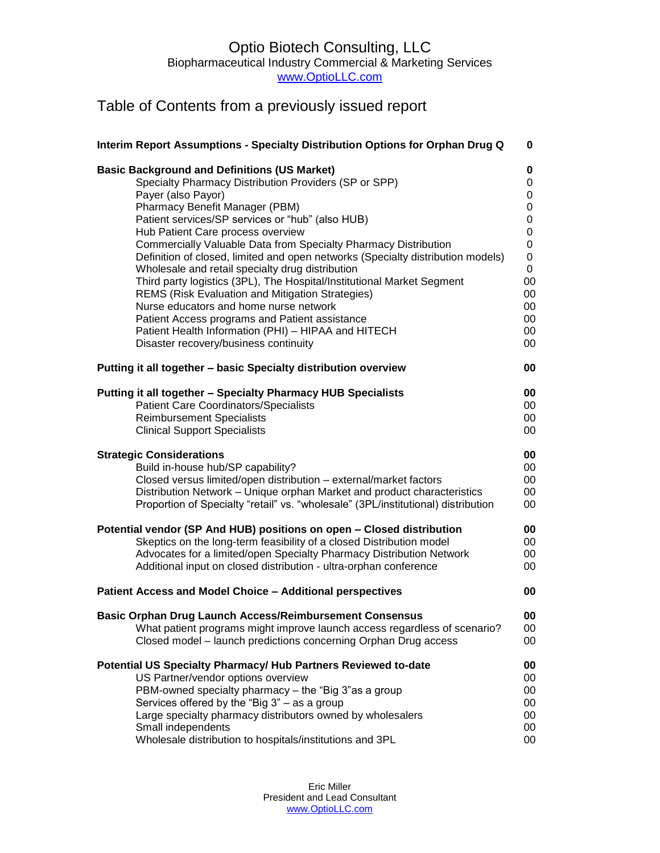## Optio Biotech Consulting, LLC Biopharmaceutical Industry Commercial & Marketing Services www.OptioLLC.com

## Table of Contents from a previously issued report

| Interim Report Assumptions - Specialty Distribution Options for Orphan Drug Q                                                       | 0         |
|-------------------------------------------------------------------------------------------------------------------------------------|-----------|
| <b>Basic Background and Definitions (US Market)</b>                                                                                 | 0         |
| Specialty Pharmacy Distribution Providers (SP or SPP)                                                                               | 0         |
| Payer (also Payor)                                                                                                                  | 0         |
| Pharmacy Benefit Manager (PBM)                                                                                                      | 0         |
| Patient services/SP services or "hub" (also HUB)                                                                                    | 0         |
| Hub Patient Care process overview                                                                                                   | 0         |
| Commercially Valuable Data from Specialty Pharmacy Distribution                                                                     | 0         |
| Definition of closed, limited and open networks (Specialty distribution models)<br>Wholesale and retail specialty drug distribution | $\pmb{0}$ |
| Third party logistics (3PL), The Hospital/Institutional Market Segment                                                              | 0<br>00   |
| <b>REMS (Risk Evaluation and Mitigation Strategies)</b>                                                                             | 00        |
| Nurse educators and home nurse network                                                                                              | 00        |
| Patient Access programs and Patient assistance                                                                                      | 00        |
| Patient Health Information (PHI) - HIPAA and HITECH                                                                                 | 00        |
| Disaster recovery/business continuity                                                                                               | 00        |
| Putting it all together - basic Specialty distribution overview                                                                     | 00        |
| Putting it all together - Specialty Pharmacy HUB Specialists                                                                        | 00        |
| <b>Patient Care Coordinators/Specialists</b>                                                                                        | 00        |
| <b>Reimbursement Specialists</b>                                                                                                    | 00        |
| <b>Clinical Support Specialists</b>                                                                                                 | 00        |
| <b>Strategic Considerations</b>                                                                                                     | 00        |
| Build in-house hub/SP capability?                                                                                                   | 00        |
| Closed versus limited/open distribution - external/market factors                                                                   | 00        |
| Distribution Network - Unique orphan Market and product characteristics                                                             | 00        |
| Proportion of Specialty "retail" vs. "wholesale" (3PL/institutional) distribution                                                   | 00        |
| Potential vendor (SP And HUB) positions on open - Closed distribution                                                               | 00        |
| Skeptics on the long-term feasibility of a closed Distribution model                                                                | 00        |
| Advocates for a limited/open Specialty Pharmacy Distribution Network                                                                | 00        |
| Additional input on closed distribution - ultra-orphan conference                                                                   | 00        |
| Patient Access and Model Choice - Additional perspectives                                                                           | 00        |
| <b>Basic Orphan Drug Launch Access/Reimbursement Consensus</b>                                                                      | 00        |
| What patient programs might improve launch access regardless of scenario?                                                           | 00        |
| Closed model - launch predictions concerning Orphan Drug access                                                                     | 00        |
| Potential US Specialty Pharmacy/ Hub Partners Reviewed to-date                                                                      | 00        |
| US Partner/vendor options overview                                                                                                  | 00        |
| PBM-owned specialty pharmacy - the "Big 3" as a group                                                                               | 00        |
| Services offered by the "Big $3"$ – as a group                                                                                      | 00        |
| Large specialty pharmacy distributors owned by wholesalers                                                                          | 00        |
| Small independents                                                                                                                  | 00        |
| Wholesale distribution to hospitals/institutions and 3PL                                                                            | 00        |